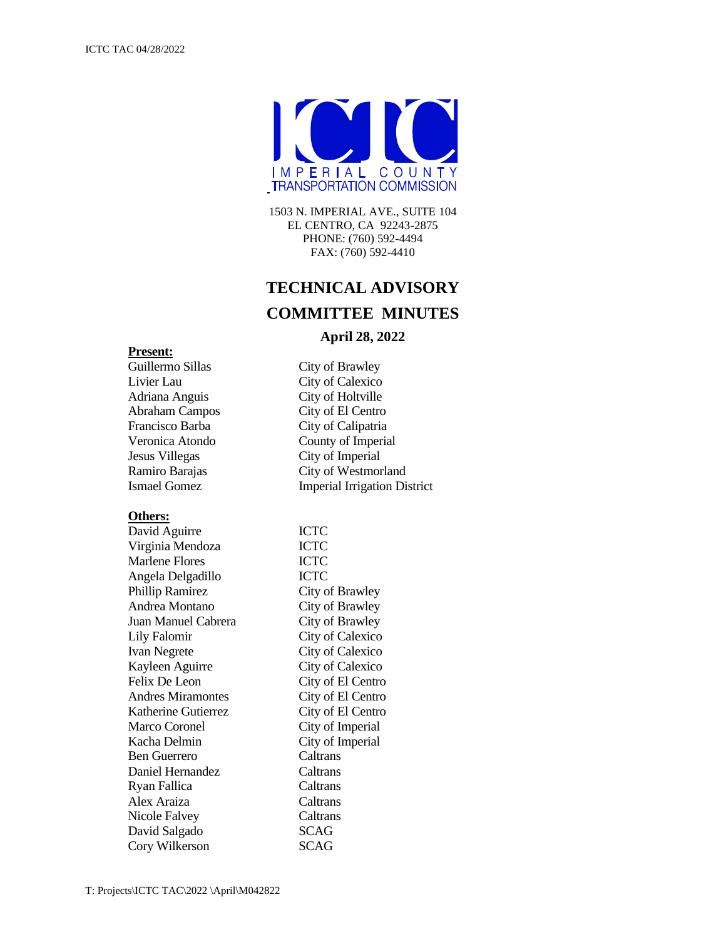

1503 N. IMPERIAL AVE., SUITE 104 EL CENTRO, CA 92243-2875 PHONE: (760) 592-4494 FAX: (760) 592-4410

# **TECHNICAL ADVISORY COMMITTEE MINUTES**

## **April 28, 2022**

## **Present:**

Livier Lau City of Calexico Adriana Anguis City of Holtville Abraham Campos City of El Centro Francisco Barba City of Calipatria Jesus Villegas City of Imperial

#### **Others:**

David Aguirre **ICTC** Virginia Mendoza ICTC Marlene Flores **ICTC** Angela Delgadillo ICTC Phillip Ramirez City of Brawley Andrea Montano City of Brawley Juan Manuel Cabrera City of Brawley Lily Falomir City of Calexico Ivan Negrete City of Calexico Kayleen Aguirre City of Calexico Felix De Leon City of El Centro Andres Miramontes City of El Centro Katherine Gutierrez City of El Centro Marco Coronel City of Imperial Kacha Delmin City of Imperial Ben Guerrero Caltrans Daniel Hernandez Caltrans Ryan Fallica Caltrans Alex Araiza Caltrans Nicole Falvey Caltrans David Salgado SCAG Cory Wilkerson SCAG

Guillermo Sillas City of Brawley Veronica Atondo County of Imperial Ramiro Barajas City of Westmorland Ismael Gomez Imperial Irrigation District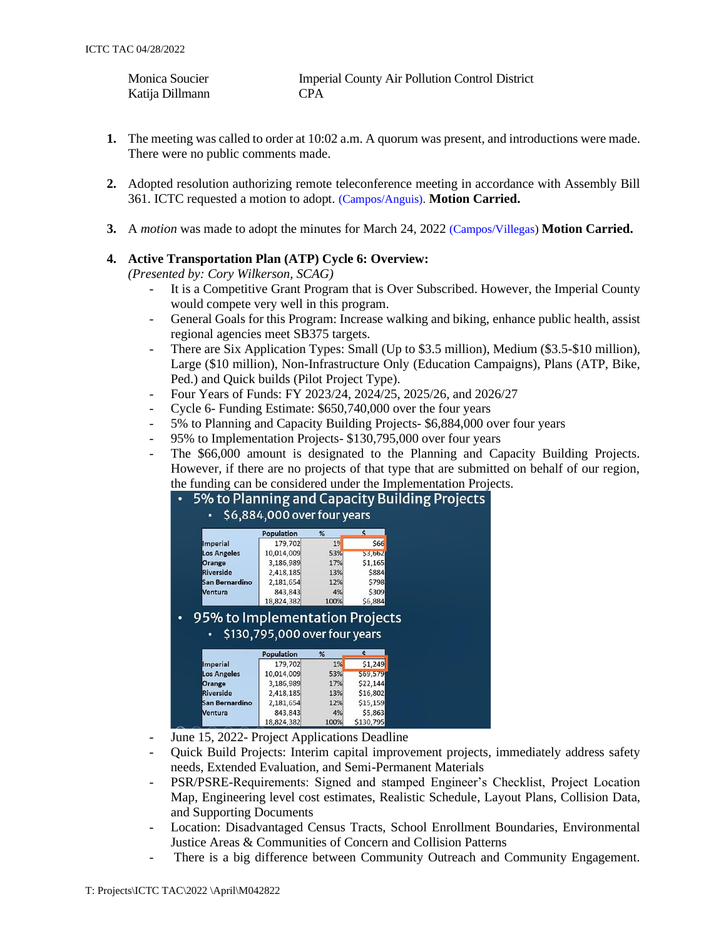| Monica Soucier  | <b>Imperial County Air Pollution Control District</b> |
|-----------------|-------------------------------------------------------|
| Katija Dillmann | <b>CPA</b>                                            |

- **1.** The meeting was called to order at 10:02 a.m. A quorum was present, and introductions were made. There were no public comments made.
- **2.** Adopted resolution authorizing remote teleconference meeting in accordance with Assembly Bill 361. ICTC requested a motion to adopt. (Campos/Anguis). **Motion Carried.**
- **3.** A *motion* was made to adopt the minutes for March 24, 2022 (Campos/Villegas) **Motion Carried.**

## **4. Active Transportation Plan (ATP) Cycle 6: Overview:**

*(Presented by: Cory Wilkerson, SCAG)*

- It is a Competitive Grant Program that is Over Subscribed. However, the Imperial County would compete very well in this program.
- General Goals for this Program: Increase walking and biking, enhance public health, assist regional agencies meet SB375 targets.
- There are Six Application Types: Small (Up to \$3.5 million), Medium (\$3.5-\$10 million), Large (\$10 million), Non-Infrastructure Only (Education Campaigns), Plans (ATP, Bike, Ped.) and Quick builds (Pilot Project Type).
- Four Years of Funds: FY 2023/24, 2024/25, 2025/26, and 2026/27
- Cycle 6- Funding Estimate: \$650,740,000 over the four years
- 5% to Planning and Capacity Building Projects- \$6,884,000 over four years
- 95% to Implementation Projects- \$130,795,000 over four years
- The \$66,000 amount is designated to the Planning and Capacity Building Projects. However, if there are no projects of that type that are submitted on behalf of our region, the funding can be considered under the Implementation Projects.

|                                                                                                                         | <b>Population</b>             | %              | \$                   |
|-------------------------------------------------------------------------------------------------------------------------|-------------------------------|----------------|----------------------|
| <b>Imperial</b>                                                                                                         | 179,702                       | 1 <sup>9</sup> | \$66                 |
| <b>Los Angeles</b>                                                                                                      | 10,014,009                    | 53%            | 53,662               |
| Orange                                                                                                                  | 3,186,989                     | 17%            | \$1,165              |
| <b>Riverside</b>                                                                                                        | 2,418,185                     | 13%            | \$884                |
| <b>San Bernardino</b>                                                                                                   | 2,181,654                     | 12%            | \$798                |
| <b>Ventura</b>                                                                                                          | 843,843                       | 4%             | \$309                |
|                                                                                                                         | 18,824,382                    | 100%           | \$6,884              |
|                                                                                                                         |                               |                |                      |
| $\bullet$                                                                                                               | \$130,795,000 over four years |                | $\ddot{\phantom{0}}$ |
|                                                                                                                         | <b>Population</b>             | %<br>1%        |                      |
|                                                                                                                         | 179,702<br>10,014,009         | 53%            | \$1,249<br>\$69,579  |
|                                                                                                                         | 3,186,989                     | 17%            | \$22,144             |
|                                                                                                                         | 2,418,185                     | 13%            | \$16,802             |
| 95% to Implementation Projects<br><b>Imperial</b><br><b>Los Angeles</b><br>Orange<br><b>Riverside</b><br>San Bernardino | 2,181,654                     | 12%            | \$15,159             |
| Ventura                                                                                                                 | 843,843                       | 4%             | \$5,863              |

- June 15, 2022- Project Applications Deadline
- Quick Build Projects: Interim capital improvement projects, immediately address safety needs, Extended Evaluation, and Semi-Permanent Materials
- PSR/PSRE-Requirements: Signed and stamped Engineer's Checklist, Project Location Map, Engineering level cost estimates, Realistic Schedule, Layout Plans, Collision Data, and Supporting Documents
- Location: Disadvantaged Census Tracts, School Enrollment Boundaries, Environmental Justice Areas & Communities of Concern and Collision Patterns
- There is a big difference between Community Outreach and Community Engagement.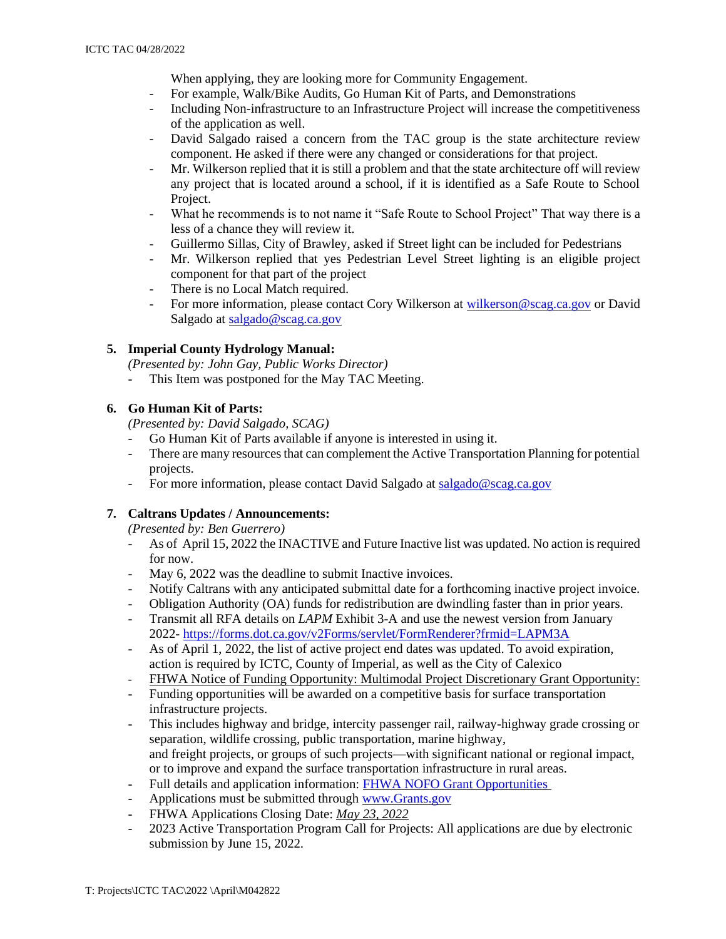When applying, they are looking more for Community Engagement.

- For example, Walk/Bike Audits, Go Human Kit of Parts, and Demonstrations
- Including Non-infrastructure to an Infrastructure Project will increase the competitiveness of the application as well.
- David Salgado raised a concern from the TAC group is the state architecture review component. He asked if there were any changed or considerations for that project.
- Mr. Wilkerson replied that it is still a problem and that the state architecture off will review any project that is located around a school, if it is identified as a Safe Route to School Project.
- What he recommends is to not name it "Safe Route to School Project" That way there is a less of a chance they will review it.
- Guillermo Sillas, City of Brawley, asked if Street light can be included for Pedestrians
- Mr. Wilkerson replied that yes Pedestrian Level Street lighting is an eligible project component for that part of the project
- There is no Local Match required.
- For more information, please contact Cory Wilkerson at [wilkerson@scag.ca.gov](mailto:wilkerson@scag.ca.gov) or David Salgado at [salgado@scag.ca.gov](mailto:salgado@scag.ca.gov)

# **5. Imperial County Hydrology Manual:**

*(Presented by: John Gay, Public Works Director)*

- This Item was postponed for the May TAC Meeting.

## **6. Go Human Kit of Parts:**

- *(Presented by: David Salgado, SCAG)*
- Go Human Kit of Parts available if anyone is interested in using it.
- There are many resources that can complement the Active Transportation Planning for potential projects.
- For more information, please contact David Salgado at [salgado@scag.ca.gov](mailto:salgado@scag.ca.gov)

# **7. Caltrans Updates / Announcements:**

*(Presented by: Ben Guerrero)*

- As of April 15, 2022 the INACTIVE and Future Inactive list was updated. No action is required for now.
- May 6, 2022 was the deadline to submit Inactive invoices.
- Notify Caltrans with any anticipated submittal date for a forthcoming inactive project invoice.
- Obligation Authority (OA) funds for redistribution are dwindling faster than in prior years.
- Transmit all RFA details on *LAPM* Exhibit 3-A and use the newest version from January 2022- <https://forms.dot.ca.gov/v2Forms/servlet/FormRenderer?frmid=LAPM3A>
- As of April 1, 2022, the list of active project end dates was updated. To avoid expiration, action is required by ICTC, County of Imperial, as well as the City of Calexico
- FHWA Notice of Funding Opportunity: Multimodal Project Discretionary Grant Opportunity:
- Funding opportunities will be awarded on a competitive basis for surface transportation infrastructure projects.
- This includes highway and bridge, intercity passenger rail, railway-highway grade crossing or separation, wildlife crossing, public transportation, marine highway, and freight projects, or groups of such projects—with significant national or regional impact, or to improve and expand the surface transportation infrastructure in rural areas.
- Full details and application information: [FHWA NOFO Grant Opportunities](https://www.federalregister.gov/documents/2022/03/25/2022-06350/notice-of-funding-opportunity-for-the-department-of-transportations-multimodal-project-discretionary)
- Applications must be submitted through [www.Grants.gov](http://www.grants.gov/)
- FHWA Applications Closing Date: *May 23, 2022*
- 2023 Active Transportation Program Call for Projects: All applications are due by electronic submission by June 15, 2022.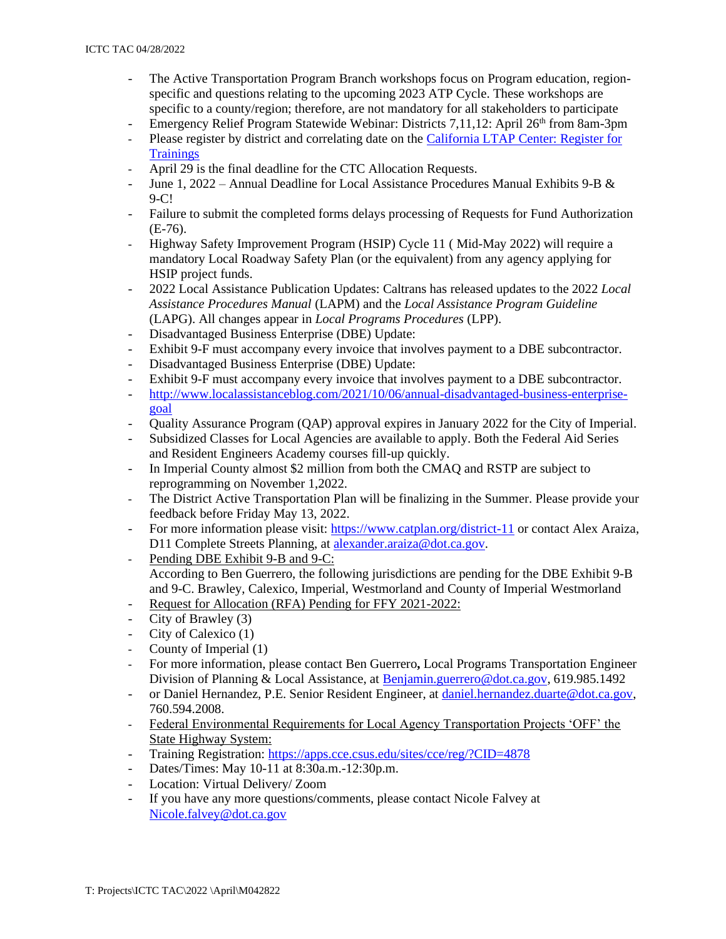- The Active Transportation Program Branch workshops focus on Program education, regionspecific and questions relating to the upcoming 2023 ATP Cycle. These workshops are specific to a county/region; therefore, are not mandatory for all stakeholders to participate
- Emergency Relief Program Statewide Webinar: Districts 7,11,12: April 26<sup>th</sup> from 8am-3pm
- Please register by district and correlating date on th[e California LTAP Center: Register for](https://californialtap.org/index.cfm?pid=1077)  **[Trainings](https://californialtap.org/index.cfm?pid=1077)**
- April 29 is the final deadline for the CTC Allocation Requests.
- June 1, 2022 Annual Deadline for Local Assistance Procedures Manual Exhibits 9-B  $\&$ 9-C!
- Failure to submit the completed forms delays processing of Requests for Fund Authorization (E-76).
- Highway Safety Improvement Program (HSIP) Cycle 11 ( Mid-May 2022) will require a mandatory Local Roadway Safety Plan (or the equivalent) from any agency applying for HSIP project funds.
- 2022 Local Assistance Publication Updates: Caltrans has released updates to the 2022 *Local Assistance Procedures Manual* (LAPM) and the *Local Assistance Program Guideline* (LAPG). All changes appear in *Local Programs Procedures* (LPP).
- Disadvantaged Business Enterprise (DBE) Update:
- Exhibit 9-F must accompany every invoice that involves payment to a DBE subcontractor.
- Disadvantaged Business Enterprise (DBE) Update:
- Exhibit 9-F must accompany every invoice that involves payment to a DBE subcontractor.
- [http://www.localassistanceblog.com/2021/10/06/annual-disadvantaged-business-enterprise](http://www.localassistanceblog.com/2021/10/06/annual-disadvantaged-business-enterprise-goal)[goal](http://www.localassistanceblog.com/2021/10/06/annual-disadvantaged-business-enterprise-goal)
- Quality Assurance Program (QAP) approval expires in January 2022 for the City of Imperial.
- Subsidized Classes for Local Agencies are available to apply. Both the Federal Aid Series and Resident Engineers Academy courses fill-up quickly.
- In Imperial County almost \$2 million from both the CMAQ and RSTP are subject to reprogramming on November 1,2022.
- The District Active Transportation Plan will be finalizing in the Summer. Please provide your feedback before Friday May 13, 2022.
- For more information please visit:<https://www.catplan.org/district-11> or contact Alex Araiza, D11 Complete Streets Planning, at [alexander.araiza@dot.ca.gov.](mailto:alexander.araiza@dot.ca.gov)
- Pending DBE Exhibit 9-B and 9-C: According to Ben Guerrero, the following jurisdictions are pending for the DBE Exhibit 9-B and 9-C. Brawley, Calexico, Imperial, Westmorland and County of Imperial Westmorland
- Request for Allocation (RFA) Pending for FFY 2021-2022:
- City of Brawley (3)
- City of Calexico (1)
- County of Imperial (1)
- For more information, please contact Ben Guerrero**,** Local Programs Transportation Engineer Division of Planning & Local Assistance, at [Benjamin.guerrero@dot.ca.gov,](mailto:Benjamin.guerrero@dot.ca.gov) 619.985.1492
- or Daniel Hernandez, P.E. Senior Resident Engineer, at [daniel.hernandez.duarte@dot.ca.gov,](mailto:daniel.hernandez.duarte@dot.ca.gov) 760.594.2008.
- Federal Environmental Requirements for Local Agency Transportation Projects 'OFF' the State Highway System:
- Training Registration:<https://apps.cce.csus.edu/sites/cce/reg/?CID=4878>
- Dates/Times: May 10-11 at 8:30a.m.-12:30p.m.
- Location: Virtual Delivery/ Zoom
- If you have any more questions/comments, please contact Nicole Falvey at [Nicole.falvey@dot.ca.gov](mailto:Nicole.falvey@dot.ca.gov)